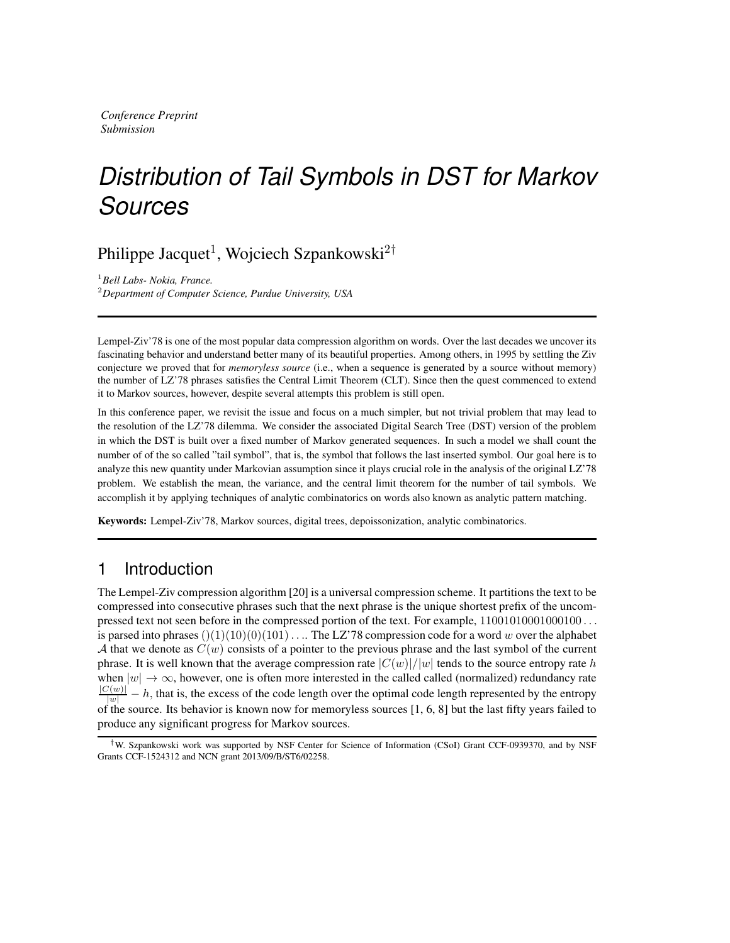*Conference Preprint Submission*

# *Distribution of Tail Symbols in DST for Markov Sources*

Philippe Jacquet<sup>1</sup>, Wojciech Szpankowski<sup>2†</sup>

<sup>1</sup>*Bell Labs- Nokia, France.* <sup>2</sup>*Department of Computer Science, Purdue University, USA*

Lempel-Ziv'78 is one of the most popular data compression algorithm on words. Over the last decades we uncover its fascinating behavior and understand better many of its beautiful properties. Among others, in 1995 by settling the Ziv conjecture we proved that for *memoryless source* (i.e., when a sequence is generated by a source without memory) the number of LZ'78 phrases satisfies the Central Limit Theorem (CLT). Since then the quest commenced to extend it to Markov sources, however, despite several attempts this problem is still open.

In this conference paper, we revisit the issue and focus on a much simpler, but not trivial problem that may lead to the resolution of the LZ'78 dilemma. We consider the associated Digital Search Tree (DST) version of the problem in which the DST is built over a fixed number of Markov generated sequences. In such a model we shall count the number of of the so called "tail symbol", that is, the symbol that follows the last inserted symbol. Our goal here is to analyze this new quantity under Markovian assumption since it plays crucial role in the analysis of the original LZ'78 problem. We establish the mean, the variance, and the central limit theorem for the number of tail symbols. We accomplish it by applying techniques of analytic combinatorics on words also known as analytic pattern matching.

Keywords: Lempel-Ziv'78, Markov sources, digital trees, depoissonization, analytic combinatorics.

# 1 Introduction

The Lempel-Ziv compression algorithm [20] is a universal compression scheme. It partitions the text to be compressed into consecutive phrases such that the next phrase is the unique shortest prefix of the uncompressed text not seen before in the compressed portion of the text. For example,  $11001010001000000...$ is parsed into phrases  $()(1)(10)(0)(101)$ ... The LZ'78 compression code for a word w over the alphabet A that we denote as  $C(w)$  consists of a pointer to the previous phrase and the last symbol of the current phrase. It is well known that the average compression rate  $|C(w)|/|w|$  tends to the source entropy rate h when  $|w| \to \infty$ , however, one is often more interested in the called called (normalized) redundancy rate  $\frac{|C(w)|}{|w|} - h$ , that is, the excess of the code length over the optimal code length represented by the entropy of the source. Its behavior is known now for memoryless sources [1, 6, 8] but the last fifty years failed to produce any significant progress for Markov sources.

<sup>†</sup>W. Szpankowski work was supported by NSF Center for Science of Information (CSoI) Grant CCF-0939370, and by NSF Grants CCF-1524312 and NCN grant 2013/09/B/ST6/02258.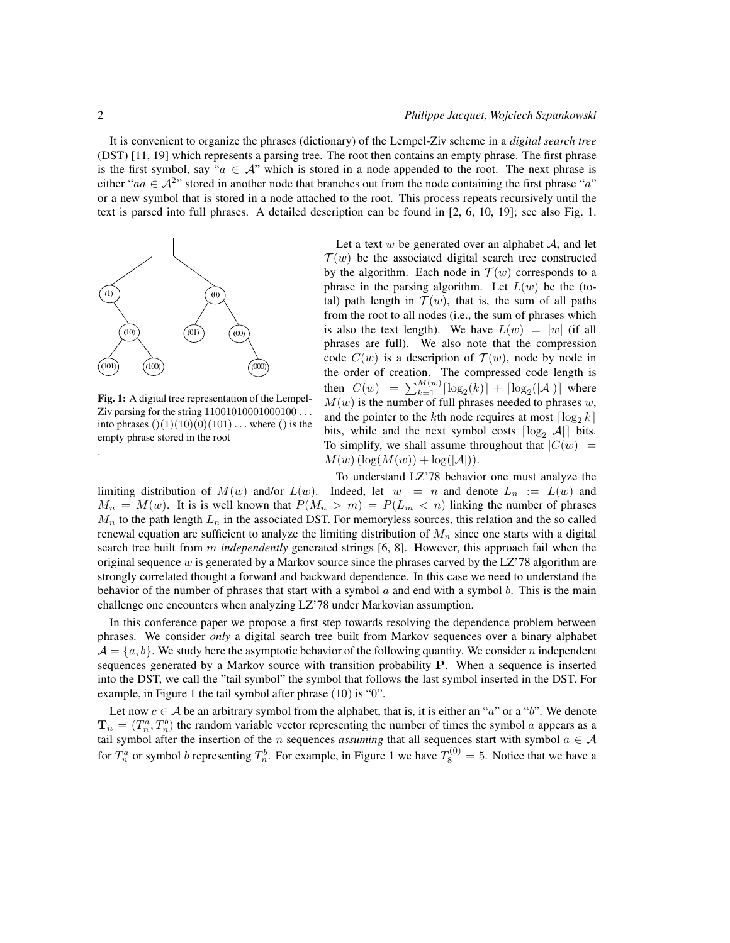It is convenient to organize the phrases (dictionary) of the Lempel-Ziv scheme in a *digital search tree* (DST) [11, 19] which represents a parsing tree. The root then contains an empty phrase. The first phrase is the first symbol, say " $a \in A$ " which is stored in a node appended to the root. The next phrase is either "a $a \in A^{2}$ " stored in another node that branches out from the node containing the first phrase "a" or a new symbol that is stored in a node attached to the root. This process repeats recursively until the text is parsed into full phrases. A detailed description can be found in [2, 6, 10, 19]; see also Fig. 1.



Fig. 1: A digital tree representation of the Lempel-Ziv parsing for the string  $11001010001000100...$ into phrases  $()(1)(10)(0)(101)$ ... where () is the empty phrase stored in the root

Let a text  $w$  be generated over an alphabet  $A$ , and let  $\mathcal{T}(w)$  be the associated digital search tree constructed by the algorithm. Each node in  $\mathcal{T}(w)$  corresponds to a phrase in the parsing algorithm. Let  $L(w)$  be the (total) path length in  $\mathcal{T}(w)$ , that is, the sum of all paths from the root to all nodes (i.e., the sum of phrases which is also the text length). We have  $L(w) = |w|$  (if all phrases are full). We also note that the compression code  $C(w)$  is a description of  $\mathcal{T}(w)$ , node by node in the order of creation. The compressed code length is then  $|C(w)| = \sum_{k=1}^{M(w)} \lceil \log_2(k) \rceil + \lceil \log_2(|A|) \rceil$  where  $M(w)$  is the number of full phrases needed to phrases w, and the pointer to the kth node requires at most  $\lceil \log_2 k \rceil$ bits, while and the next symbol costs  $\lceil \log_2 |\mathcal{A}| \rceil$  bits. To simplify, we shall assume throughout that  $|C(w)| =$  $M(w)$  (log( $M(w)$ ) + log( $|\mathcal{A}|$ )).

To understand LZ'78 behavior one must analyze the limiting distribution of  $M(w)$  and/or  $L(w)$ . Indeed, let  $|w| = n$  and denote  $L_n := L(w)$  and  $M_n = M(w)$ . It is is well known that  $P(M_n > m) = P(L_m < n)$  linking the number of phrases  $M_n$  to the path length  $L_n$  in the associated DST. For memoryless sources, this relation and the so called renewal equation are sufficient to analyze the limiting distribution of  $M_n$  since one starts with a digital search tree built from m *independently* generated strings [6, 8]. However, this approach fail when the original sequence w is generated by a Markov source since the phrases carved by the LZ'78 algorithm are strongly correlated thought a forward and backward dependence. In this case we need to understand the behavior of the number of phrases that start with a symbol  $a$  and end with a symbol  $b$ . This is the main challenge one encounters when analyzing LZ'78 under Markovian assumption.

In this conference paper we propose a first step towards resolving the dependence problem between phrases. We consider *only* a digital search tree built from Markov sequences over a binary alphabet  $\mathcal{A} = \{a, b\}$ . We study here the asymptotic behavior of the following quantity. We consider n independent sequences generated by a Markov source with transition probability P. When a sequence is inserted into the DST, we call the "tail symbol" the symbol that follows the last symbol inserted in the DST. For example, in Figure 1 the tail symbol after phrase (10) is "0".

Let now  $c \in A$  be an arbitrary symbol from the alphabet, that is, it is either an "a" or a "b". We denote  $\mathbf{T}_n = (T_n^a, T_n^b)$  the random variable vector representing the number of times the symbol a appears as a tail symbol after the insertion of the *n* sequences *assuming* that all sequences start with symbol  $a \in A$ for  $T_n^a$  or symbol b representing  $T_n^b$ . For example, in Figure 1 we have  $T_8^{(0)} = 5$ . Notice that we have a

.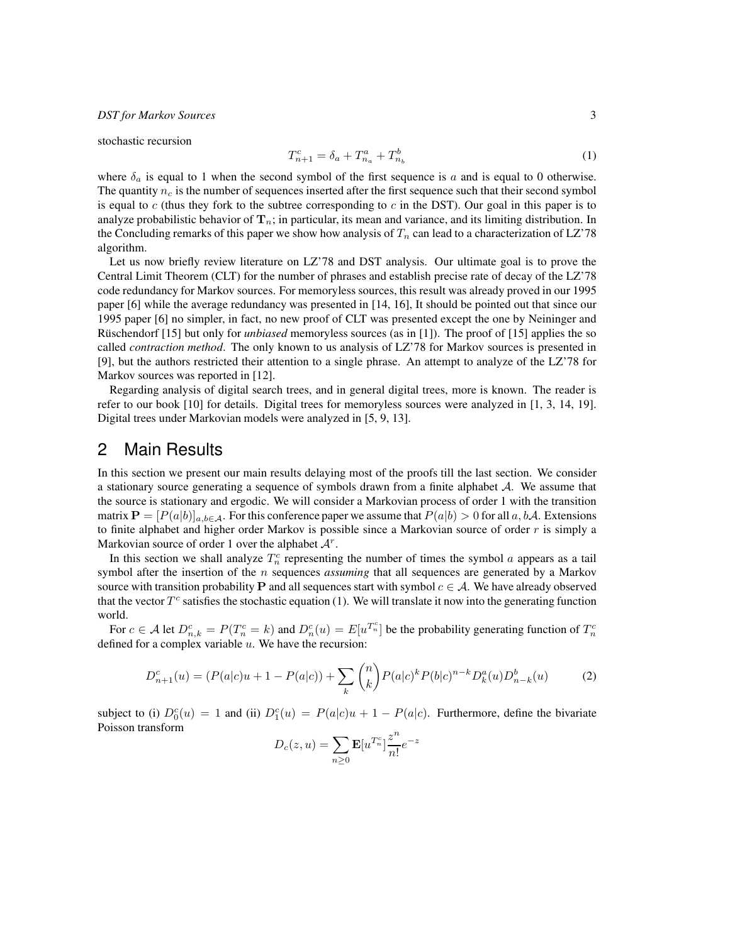stochastic recursion

$$
T_{n+1}^c = \delta_a + T_{n_a}^a + T_{n_b}^b \tag{1}
$$

where  $\delta_a$  is equal to 1 when the second symbol of the first sequence is a and is equal to 0 otherwise. The quantity  $n_c$  is the number of sequences inserted after the first sequence such that their second symbol is equal to  $c$  (thus they fork to the subtree corresponding to  $c$  in the DST). Our goal in this paper is to analyze probabilistic behavior of  $T_n$ ; in particular, its mean and variance, and its limiting distribution. In the Concluding remarks of this paper we show how analysis of  $T_n$  can lead to a characterization of LZ'78 algorithm.

Let us now briefly review literature on LZ'78 and DST analysis. Our ultimate goal is to prove the Central Limit Theorem (CLT) for the number of phrases and establish precise rate of decay of the LZ'78 code redundancy for Markov sources. For memoryless sources, this result was already proved in our 1995 paper [6] while the average redundancy was presented in [14, 16], It should be pointed out that since our 1995 paper [6] no simpler, in fact, no new proof of CLT was presented except the one by Neininger and Rüschendorf [15] but only for *unbiased* memoryless sources (as in [1]). The proof of [15] applies the so called *contraction method*. The only known to us analysis of LZ'78 for Markov sources is presented in [9], but the authors restricted their attention to a single phrase. An attempt to analyze of the LZ'78 for Markov sources was reported in [12].

Regarding analysis of digital search trees, and in general digital trees, more is known. The reader is refer to our book [10] for details. Digital trees for memoryless sources were analyzed in [1, 3, 14, 19]. Digital trees under Markovian models were analyzed in [5, 9, 13].

## 2 Main Results

In this section we present our main results delaying most of the proofs till the last section. We consider a stationary source generating a sequence of symbols drawn from a finite alphabet  $A$ . We assume that the source is stationary and ergodic. We will consider a Markovian process of order 1 with the transition matrix  $\mathbf{P} = [P(a|b)]_{a,b \in \mathcal{A}}$ . For this conference paper we assume that  $P(a|b) > 0$  for all  $a, b\mathcal{A}$ . Extensions to finite alphabet and higher order Markov is possible since a Markovian source of order  $r$  is simply a Markovian source of order 1 over the alphabet  $A^r$ .

In this section we shall analyze  $T_n^c$  representing the number of times the symbol a appears as a tail symbol after the insertion of the n sequences *assuming* that all sequences are generated by a Markov source with transition probability P and all sequences start with symbol  $c \in A$ . We have already observed that the vector  $T^c$  satisfies the stochastic equation (1). We will translate it now into the generating function world.

For  $c \in A$  let  $D_{n,k}^c = P(T_n^c = k)$  and  $D_n^c(u) = E[u^{T_n^c}]$  be the probability generating function of  $T_n^c$ defined for a complex variable  $u$ . We have the recursion:

$$
D_{n+1}^c(u) = (P(a|c)u + 1 - P(a|c)) + \sum_{k} \binom{n}{k} P(a|c)^k P(b|c)^{n-k} D_k^a(u) D_{n-k}^b(u)
$$
 (2)

subject to (i)  $D_0^c(u) = 1$  and (ii)  $D_1^c(u) = P(a|c)u + 1 - P(a|c)$ . Furthermore, define the bivariate Poisson transform

$$
D_c(z, u) = \sum_{n \ge 0} \mathbf{E}[u^{T_n^c}] \frac{z^n}{n!} e^{-z}
$$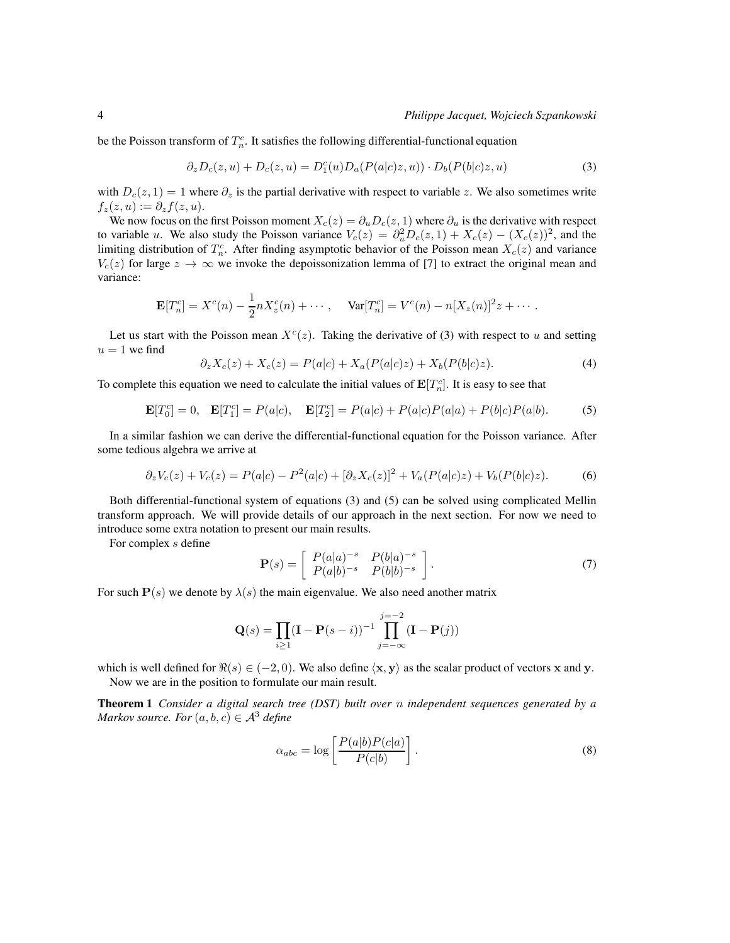be the Poisson transform of  $T_n^c$ . It satisfies the following differential-functional equation

$$
\partial_z D_c(z, u) + D_c(z, u) = D_1^c(u) D_a(P(a|c)z, u)) \cdot D_b(P(b|c)z, u)
$$
\n(3)

with  $D_c(z, 1) = 1$  where  $\partial_z$  is the partial derivative with respect to variable z. We also sometimes write  $f_z(z, u) := \partial_z f(z, u).$ 

We now focus on the first Poisson moment  $X_c(z) = \partial_u D_c(z, 1)$  where  $\partial_u$  is the derivative with respect to variable u. We also study the Poisson variance  $V_c(z) = \partial_u^2 D_c(z, 1) + X_c(z) - (X_c(z))^2$ , and the limiting distribution of  $T_n^c$ . After finding asymptotic behavior of the Poisson mean  $X_c(z)$  and variance  $V_c(z)$  for large  $z \to \infty$  we invoke the depoissonization lemma of [7] to extract the original mean and variance:

$$
\mathbf{E}[T_n^c] = X^c(n) - \frac{1}{2}nX_z^c(n) + \cdots, \quad \text{Var}[T_n^c] = V^c(n) - n[X_z(n)]^2 z + \cdots.
$$

Let us start with the Poisson mean  $X^c(z)$ . Taking the derivative of (3) with respect to u and setting  $u = 1$  we find

$$
\partial_z X_c(z) + X_c(z) = P(a|c) + X_a(P(a|c)z) + X_b(P(b|c)z). \tag{4}
$$

To complete this equation we need to calculate the initial values of  $\mathbf{E}[T_n^c]$ . It is easy to see that

$$
\mathbf{E}[T_0^c] = 0, \quad \mathbf{E}[T_1^c] = P(a|c), \quad \mathbf{E}[T_2^c] = P(a|c) + P(a|c)P(a|a) + P(b|c)P(a|b).
$$
 (5)

In a similar fashion we can derive the differential-functional equation for the Poisson variance. After some tedious algebra we arrive at

$$
\partial_z V_c(z) + V_c(z) = P(a|c) - P^2(a|c) + [\partial_z X_c(z)]^2 + V_a(P(a|c)z) + V_b(P(b|c)z). \tag{6}
$$

Both differential-functional system of equations (3) and (5) can be solved using complicated Mellin transform approach. We will provide details of our approach in the next section. For now we need to introduce some extra notation to present our main results.

For complex s define

$$
\mathbf{P}(s) = \begin{bmatrix} P(a|a)^{-s} & P(b|a)^{-s} \\ P(a|b)^{-s} & P(b|b)^{-s} \end{bmatrix}.
$$
 (7)

For such  $P(s)$  we denote by  $\lambda(s)$  the main eigenvalue. We also need another matrix

$$
\mathbf{Q}(s) = \prod_{i \ge 1} (\mathbf{I} - \mathbf{P}(s - i))^{-1} \prod_{j = -\infty}^{j = -2} (\mathbf{I} - \mathbf{P}(j))
$$

which is well defined for  $\Re(s) \in (-2, 0)$ . We also define  $\langle x, y \rangle$  as the scalar product of vectors x and y. Now we are in the position to formulate our main result.

Theorem 1 *Consider a digital search tree (DST) built over* n *independent sequences generated by a Markov source. For*  $(a, b, c) \in \mathcal{A}^3$  *define* 

$$
\alpha_{abc} = \log \left[ \frac{P(a|b)P(c|a)}{P(c|b)} \right].
$$
\n(8)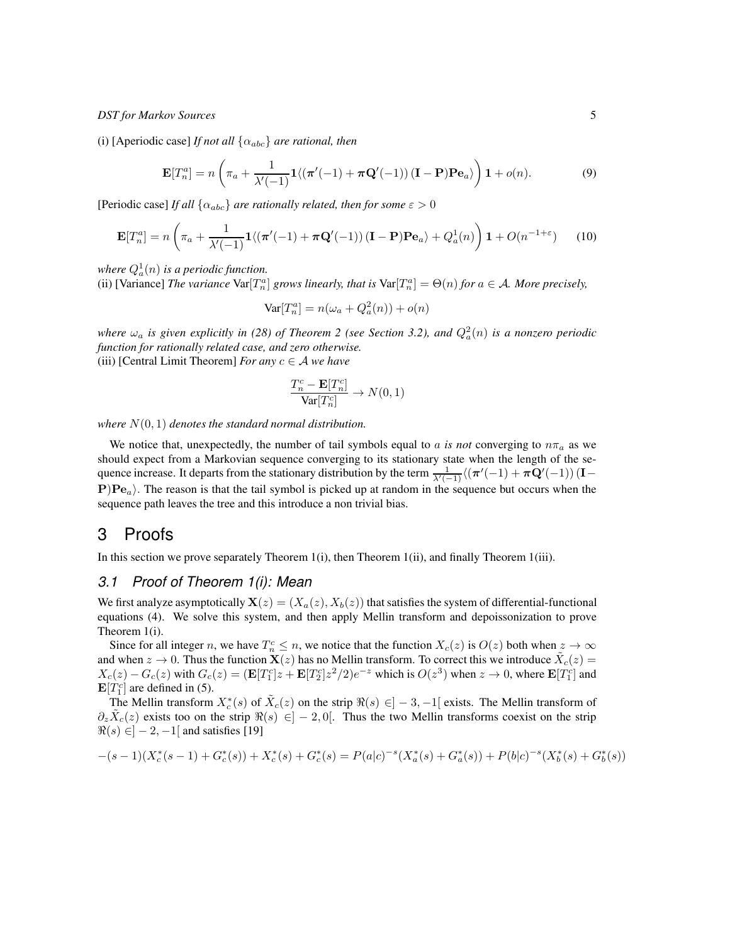(i) [Aperiodic case] *If not all* {αabc} *are rational, then*

$$
\mathbf{E}[T_n^a] = n \left( \pi_a + \frac{1}{\lambda'(-1)} \mathbf{1} \langle (\pi'(-1) + \pi \mathbf{Q}'(-1)) (\mathbf{I} - \mathbf{P}) \mathbf{P} \mathbf{e}_a \rangle \right) \mathbf{1} + o(n). \tag{9}
$$

[Periodic case] *If all*  $\{\alpha_{abc}\}$  *are rationally related, then for some*  $\varepsilon > 0$ 

$$
\mathbf{E}[T_n^a] = n \left( \pi_a + \frac{1}{\lambda'(-1)} \mathbf{1} \langle (\pi'(-1) + \pi \mathbf{Q}'(-1)) (\mathbf{I} - \mathbf{P}) \mathbf{P} \mathbf{e}_a \rangle + Q_a^1(n) \right) \mathbf{1} + O(n^{-1+\epsilon}) \tag{10}
$$

where  $Q_a^1(n)$  is a periodic function.

(ii) [Variance] *The variance*  $\text{Var}[T_n^a]$  *grows linearly, that is*  $\text{Var}[T_n^a] = \Theta(n)$  *for*  $a \in \mathcal{A}$ *. More precisely,* 

$$
\text{Var}[T_n^a] = n(\omega_a + Q_a^2(n)) + o(n)
$$

where  $\omega_a$  is given explicitly in (28) of Theorem 2 (see Section 3.2), and  $Q_a^2(n)$  is a nonzero periodic *function for rationally related case, and zero otherwise.* (iii) [Central Limit Theorem] *For any*  $c \in A$  *we have* 

$$
\frac{T_n^c - \mathbf{E}[T_n^c]}{\text{Var}[T_n^c]} \to N(0, 1)
$$

*where* N(0, 1) *denotes the standard normal distribution.*

We notice that, unexpectedly, the number of tail symbols equal to a is not converging to  $n\pi_a$  as we should expect from a Markovian sequence converging to its stationary state when the length of the sequence increase. It departs from the stationary distribution by the term  $\frac{1}{\lambda'(-1)}\langle (\pi'(-1)+\pi Q'(-1))$  (I –  $\mathbf{P}|\mathbf{Pe}_a\rangle$ . The reason is that the tail symbol is picked up at random in the sequence but occurs when the sequence path leaves the tree and this introduce a non trivial bias.

# 3 Proofs

In this section we prove separately Theorem 1(i), then Theorem 1(ii), and finally Theorem 1(iii).

# *3.1 Proof of Theorem 1(i): Mean*

We first analyze asymptotically  $\mathbf{X}(z) = (X_a(z), X_b(z))$  that satisfies the system of differential-functional equations (4). We solve this system, and then apply Mellin transform and depoissonization to prove Theorem 1(i).

Since for all integer n, we have  $T_n^c \le n$ , we notice that the function  $X_c(z)$  is  $O(z)$  both when  $z \to \infty$ and when  $z \to 0$ . Thus the function  $\mathbf{X}(z)$  has no Mellin transform. To correct this we introduce  $\tilde{X}_c(z) =$  $X_c(z) - G_c(z)$  with  $G_c(z) = (\mathbf{E}[T_1^c]z + \mathbf{E}[T_2^c]z^2/2)e^{-z}$  which is  $O(z^3)$  when  $z \to 0$ , where  $\mathbf{E}[T_1^c]$  and  $\mathbf{E}[T_1^c]$  are defined in (5).

The Mellin transform  $X_c^*(s)$  of  $\tilde{X}_c(z)$  on the strip  $\Re(s) \in ]-3,-1[$  exists. The Mellin transform of  $\partial_z \tilde{X}_c(z)$  exists too on the strip  $\Re(s) \in ]-2,0[$ . Thus the two Mellin transforms coexist on the strip  $\Re(s) \in ]-2, -1[$  and satisfies [19]

$$
-(s-1)(X_c^*(s-1)+G_c^*(s))+X_c^*(s)+G_c^*(s)=P(a|c)^{-s}(X_a^*(s)+G_a^*(s))+P(b|c)^{-s}(X_b^*(s)+G_b^*(s))\\
$$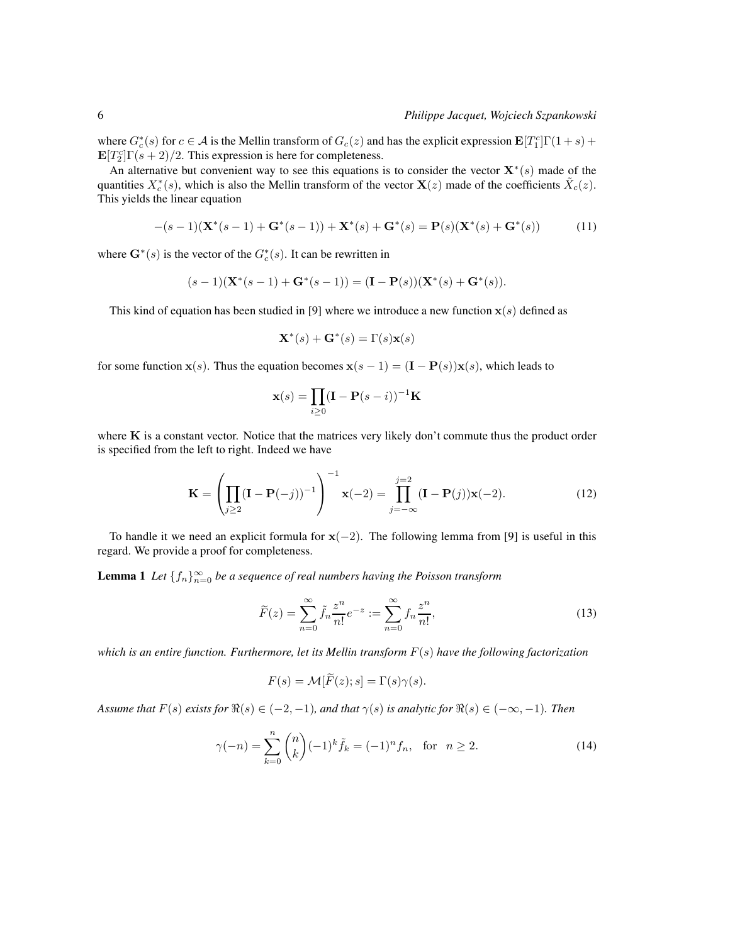where  $G_c^*(s)$  for  $c \in \mathcal{A}$  is the Mellin transform of  $G_c(z)$  and has the explicit expression  $\mathbf{E}[T_1^c]\Gamma(1+s)$  +  $\mathbf{E}[T_2^c]\Gamma(s+2)/2$ . This expression is here for completeness.

An alternative but convenient way to see this equations is to consider the vector  $\mathbf{X}^*(s)$  made of the quantities  $X_c^*(s)$ , which is also the Mellin transform of the vector  $\mathbf{X}(z)$  made of the coefficients  $\tilde{X}_c(z)$ . This yields the linear equation

$$
-(s-1)(\mathbf{X}^*(s-1)+\mathbf{G}^*(s-1))+\mathbf{X}^*(s)+\mathbf{G}^*(s)=\mathbf{P}(s)(\mathbf{X}^*(s)+\mathbf{G}^*(s))
$$
(11)

where  $\mathbf{G}^*(s)$  is the vector of the  $G_c^*(s)$ . It can be rewritten in

$$
(s-1)(\mathbf{X}^*(s-1)+\mathbf{G}^*(s-1))=(\mathbf{I}-\mathbf{P}(s))(\mathbf{X}^*(s)+\mathbf{G}^*(s)).
$$

This kind of equation has been studied in [9] where we introduce a new function  $x(s)$  defined as

$$
\mathbf{X}^*(s) + \mathbf{G}^*(s) = \Gamma(s)\mathbf{x}(s)
$$

for some function  $\mathbf{x}(s)$ . Thus the equation becomes  $\mathbf{x}(s-1) = (\mathbf{I} - \mathbf{P}(s))\mathbf{x}(s)$ , which leads to

$$
\mathbf{x}(s) = \prod_{i \ge 0} (\mathbf{I} - \mathbf{P}(s - i))^{-1} \mathbf{K}
$$

where  $K$  is a constant vector. Notice that the matrices very likely don't commute thus the product order is specified from the left to right. Indeed we have

$$
\mathbf{K} = \left(\prod_{j\geq 2} (\mathbf{I} - \mathbf{P}(-j))^{-1}\right)^{-1} \mathbf{x}(-2) = \prod_{j=-\infty}^{j=2} (\mathbf{I} - \mathbf{P}(j))\mathbf{x}(-2).
$$
 (12)

To handle it we need an explicit formula for  $x(-2)$ . The following lemma from [9] is useful in this regard. We provide a proof for completeness.

**Lemma 1** Let  $\{f_n\}_{n=0}^{\infty}$  be a sequence of real numbers having the Poisson transform

$$
\widetilde{F}(z) = \sum_{n=0}^{\infty} \widetilde{f}_n \frac{z^n}{n!} e^{-z} := \sum_{n=0}^{\infty} f_n \frac{z^n}{n!},
$$
\n(13)

*which is an entire function. Furthermore, let its Mellin transform* F(s) *have the following factorization*

$$
F(s) = \mathcal{M}[\widetilde{F}(z); s] = \Gamma(s)\gamma(s).
$$

*Assume that*  $F(s)$  *exists for*  $\Re(s) \in (-2, -1)$ *, and that*  $\gamma(s)$  *is analytic for*  $\Re(s) \in (-\infty, -1)$ *. Then* 

$$
\gamma(-n) = \sum_{k=0}^{n} {n \choose k} (-1)^k \tilde{f}_k = (-1)^n f_n, \text{ for } n \ge 2.
$$
 (14)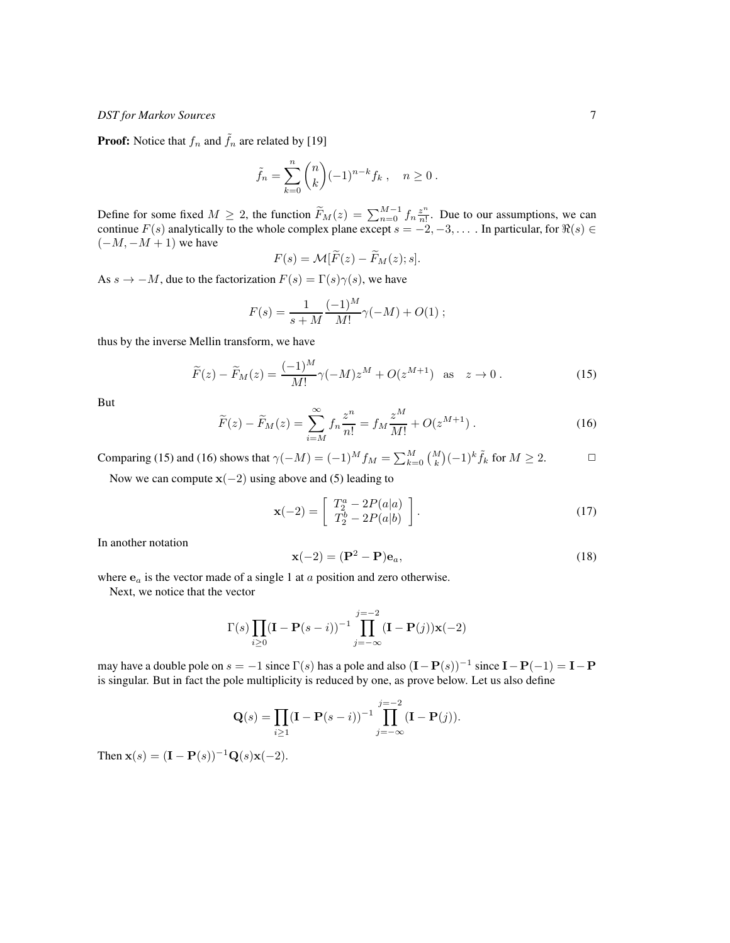**Proof:** Notice that  $f_n$  and  $\tilde{f}_n$  are related by [19]

$$
\tilde{f}_n = \sum_{k=0}^n \binom{n}{k} (-1)^{n-k} f_k, \quad n \ge 0.
$$

Define for some fixed  $M \ge 2$ , the function  $\widetilde{F}_M(z) = \sum_{n=0}^{M-1} f_n \frac{z^n}{n!}$  $\frac{z^n}{n!}$ . Due to our assumptions, we can continue  $F(s)$  analytically to the whole complex plane except  $s = -2, -3, \dots$ . In particular, for  $\Re(s) \in$  $(-M, -M + 1)$  we have

$$
F(s) = \mathcal{M}[F(z) - F_M(z); s].
$$

As  $s \to -M$ , due to the factorization  $F(s) = \Gamma(s)\gamma(s)$ , we have

$$
F(s) = \frac{1}{s+M} \frac{(-1)^M}{M!} \gamma(-M) + O(1) ;
$$

thus by the inverse Mellin transform, we have

$$
\widetilde{F}(z) - \widetilde{F}_M(z) = \frac{(-1)^M}{M!} \gamma(-M) z^M + O(z^{M+1}) \quad \text{as} \quad z \to 0 \,. \tag{15}
$$

But

$$
\widetilde{F}(z) - \widetilde{F}_M(z) = \sum_{i=M}^{\infty} f_n \frac{z^n}{n!} = f_M \frac{z^M}{M!} + O(z^{M+1}).
$$
\n(16)

Comparing (15) and (16) shows that  $\gamma(-M) = (-1)^M f_M = \sum_{k=0}^M {M \choose k} (-1)^k \tilde{f}_k$  for  $M \ge 2$ .

Now we can compute  $x(-2)$  using above and (5) leading to

$$
\mathbf{x}(-2) = \left[ \begin{array}{c} T_2^a - 2P(a|a) \\ T_2^b - 2P(a|b) \end{array} \right].
$$
 (17)

In another notation

$$
\mathbf{x}(-2) = (\mathbf{P}^2 - \mathbf{P})\mathbf{e}_a,\tag{18}
$$

where  $e_a$  is the vector made of a single 1 at  $a$  position and zero otherwise.

Next, we notice that the vector

$$
\Gamma(s) \prod_{i\geq 0} (\mathbf{I} - \mathbf{P}(s-i))^{-1} \prod_{j=-\infty}^{j=-2} (\mathbf{I} - \mathbf{P}(j))\mathbf{x}(-2)
$$

may have a double pole on  $s = -1$  since  $\Gamma(s)$  has a pole and also  $(I - P(s))^{-1}$  since  $I - P(-1) = I - P$ is singular. But in fact the pole multiplicity is reduced by one, as prove below. Let us also define

$$
\mathbf{Q}(s) = \prod_{i \ge 1} (\mathbf{I} - \mathbf{P}(s - i))^{-1} \prod_{j = -\infty}^{j = -2} (\mathbf{I} - \mathbf{P}(j)).
$$

Then  $x(s) = (I - P(s))^{-1} Q(s) x(-2)$ .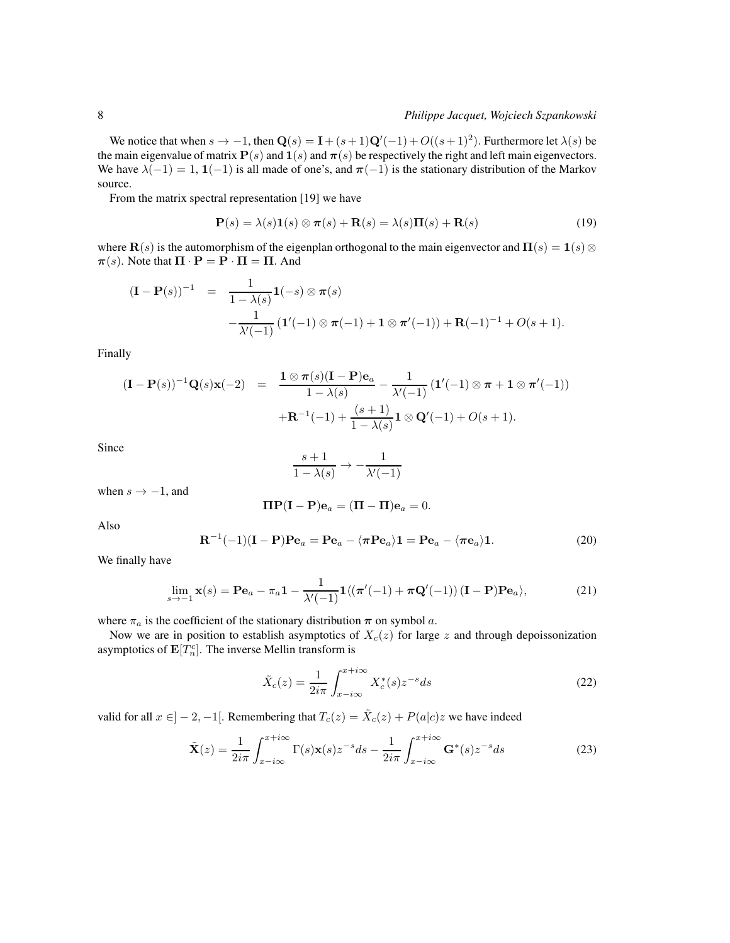We notice that when  $s \to -1$ , then  $\mathbf{Q}(s) = \mathbf{I} + (s+1)\mathbf{Q}'(-1) + O((s+1)^2)$ . Furthermore let  $\lambda(s)$  be the main eigenvalue of matrix  $P(s)$  and  $\mathbf{1}(s)$  and  $\pi(s)$  be respectively the right and left main eigenvectors. We have  $\lambda(-1) = 1$ ,  $1(-1)$  is all made of one's, and  $\pi(-1)$  is the stationary distribution of the Markov source.

From the matrix spectral representation [19] we have

$$
\mathbf{P}(s) = \lambda(s)\mathbf{1}(s) \otimes \boldsymbol{\pi}(s) + \mathbf{R}(s) = \lambda(s)\mathbf{\Pi}(s) + \mathbf{R}(s)
$$
\n(19)

where  $\mathbf{R}(s)$  is the automorphism of the eigenplan orthogonal to the main eigenvector and  $\Pi(s) = \mathbf{1}(s) \otimes \mathbf{R}(s)$  $\pi(s)$ . Note that  $\Pi \cdot \mathbf{P} = \mathbf{P} \cdot \Pi = \Pi$ . And

$$
(\mathbf{I} - \mathbf{P}(s))^{-1} = \frac{1}{1 - \lambda(s)} \mathbf{1}(-s) \otimes \pi(s)
$$
  

$$
-\frac{1}{\lambda'(-1)} (\mathbf{1}'(-1) \otimes \pi(-1) + \mathbf{1} \otimes \pi'(-1)) + \mathbf{R}(-1)^{-1} + O(s+1).
$$

Finally

$$
(\mathbf{I} - \mathbf{P}(s))^{-1} \mathbf{Q}(s) \mathbf{x}(-2) = \frac{\mathbf{1} \otimes \pi(s) (\mathbf{I} - \mathbf{P}) \mathbf{e}_a}{1 - \lambda(s)} - \frac{1}{\lambda'(-1)} (\mathbf{1}'(-1) \otimes \pi + \mathbf{1} \otimes \pi'(-1)) + \mathbf{R}^{-1}(-1) + \frac{(s+1)}{1 - \lambda(s)} \mathbf{1} \otimes \mathbf{Q}'(-1) + O(s+1).
$$

Since

$$
\frac{s+1}{1-\lambda(s)} \to -\frac{1}{\lambda'(-1)}
$$

when  $s \rightarrow -1$ , and

$$
\mathbf{\Pi} \mathbf{P} (\mathbf{I} - \mathbf{P}) \mathbf{e}_a = (\mathbf{\Pi} - \mathbf{\Pi}) \mathbf{e}_a = 0.
$$

Also

$$
\mathbf{R}^{-1}(-1)(\mathbf{I} - \mathbf{P})\mathbf{P}\mathbf{e}_a = \mathbf{P}\mathbf{e}_a - \langle \pi \mathbf{P} \mathbf{e}_a \rangle \mathbf{1} = \mathbf{P}\mathbf{e}_a - \langle \pi \mathbf{e}_a \rangle \mathbf{1}.
$$
 (20)

We finally have

$$
\lim_{s \to -1} \mathbf{x}(s) = \mathbf{P} \mathbf{e}_a - \pi_a \mathbf{1} - \frac{1}{\lambda'(-1)} \mathbf{1} \langle (\boldsymbol{\pi}'(-1) + \boldsymbol{\pi} \mathbf{Q}'(-1)) (\mathbf{I} - \mathbf{P}) \mathbf{P} \mathbf{e}_a \rangle, \tag{21}
$$

where  $\pi_a$  is the coefficient of the stationary distribution  $\pi$  on symbol  $a$ .

Now we are in position to establish asymptotics of  $X_c(z)$  for large z and through depoissonization asymptotics of  $\mathbf{E}[T_n^c]$ . The inverse Mellin transform is

$$
\tilde{X}_c(z) = \frac{1}{2i\pi} \int_{x-i\infty}^{x+i\infty} X_c^*(s) z^{-s} ds
$$
\n(22)

valid for all  $x \in ]-2, -1[$ . Remembering that  $T_c(z) = \tilde{X}_c(z) + P(a|c)z$  we have indeed

$$
\tilde{\mathbf{X}}(z) = \frac{1}{2i\pi} \int_{x-i\infty}^{x+i\infty} \Gamma(s)\mathbf{x}(s)z^{-s}ds - \frac{1}{2i\pi} \int_{x-i\infty}^{x+i\infty} \mathbf{G}^*(s)z^{-s}ds
$$
\n(23)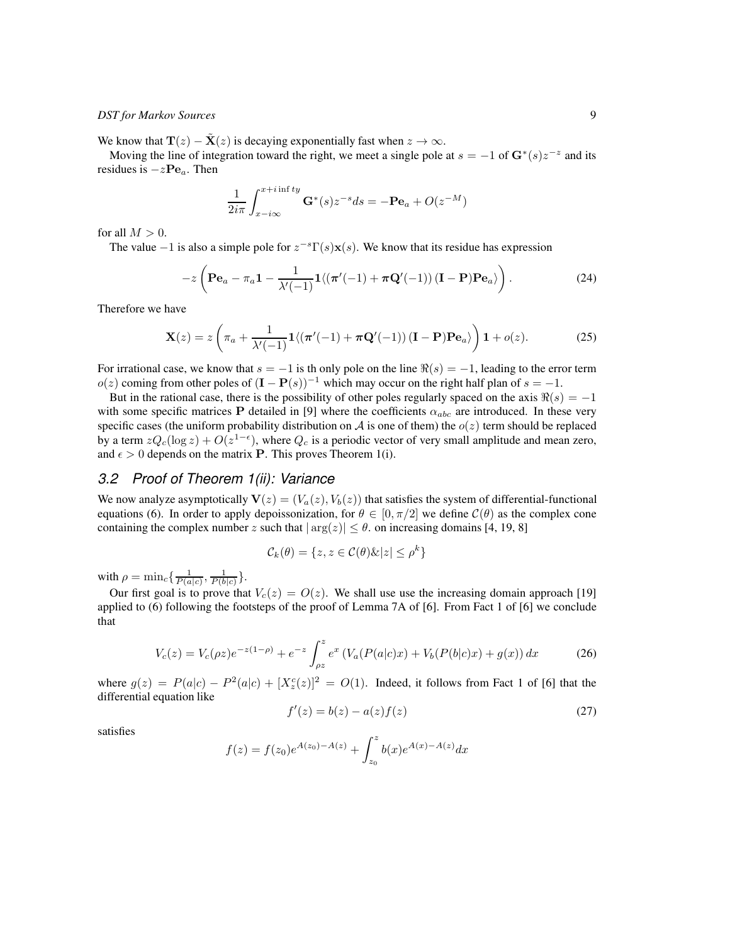We know that  $\mathbf{T}(z) - \mathbf{X}(z)$  is decaying exponentially fast when  $z \to \infty$ .

Moving the line of integration toward the right, we meet a single pole at  $s = -1$  of  $\mathbf{G}^*(s)z^{-z}$  and its residues is  $-z\mathbf{Pe}_a$ . Then

$$
\frac{1}{2i\pi} \int_{x-i\infty}^{x+i\inf ty} \mathbf{G}^*(s) z^{-s} ds = -\mathbf{P} \mathbf{e}_a + O(z^{-M})
$$

for all  $M > 0$ .

The value  $-1$  is also a simple pole for  $z^{-s}\Gamma(s)\mathbf{x}(s)$ . We know that its residue has expression

$$
-z\left(\mathbf{P}\mathbf{e}_a - \pi_a \mathbf{1} - \frac{1}{\lambda'(-1)}\mathbf{1}\langle(\pi'(-1) + \pi \mathbf{Q}'(-1))(\mathbf{I} - \mathbf{P})\mathbf{P}\mathbf{e}_a\rangle\right).
$$
 (24)

Therefore we have

$$
\mathbf{X}(z) = z \left( \pi_a + \frac{1}{\lambda'(-1)} \mathbf{1} \langle (\pi'(-1) + \pi \mathbf{Q}'(-1)) (\mathbf{I} - \mathbf{P}) \mathbf{P} \mathbf{e}_a \rangle \right) \mathbf{1} + o(z).
$$
 (25)

For irrational case, we know that  $s = -1$  is th only pole on the line  $\Re(s) = -1$ , leading to the error term  $o(z)$  coming from other poles of  $(I - P(s))^{-1}$  which may occur on the right half plan of  $s = -1$ .

But in the rational case, there is the possibility of other poles regularly spaced on the axis  $\Re(s) = -1$ with some specific matrices P detailed in [9] where the coefficients  $\alpha_{abc}$  are introduced. In these very specific cases (the uniform probability distribution on A is one of them) the  $o(z)$  term should be replaced by a term  $zQ_c(\log z) + O(z^{1-\epsilon})$ , where  $Q_c$  is a periodic vector of very small amplitude and mean zero, and  $\epsilon > 0$  depends on the matrix **P**. This proves Theorem 1(i).

## *3.2 Proof of Theorem 1(ii): Variance*

We now analyze asymptotically  $\mathbf{V}(z) = (V_a(z), V_b(z))$  that satisfies the system of differential-functional equations (6). In order to apply depoissonization, for  $\theta \in [0, \pi/2]$  we define  $\mathcal{C}(\theta)$  as the complex cone containing the complex number z such that  $|\arg(z)| \leq \theta$ . on increasing domains [4, 19, 8]

$$
\mathcal{C}_k(\theta) = \{ z, z \in \mathcal{C}(\theta) \& |z| \le \rho^k \}
$$

with  $\rho = \min_c \left\{ \frac{1}{P(a|c)}, \frac{1}{P(b|c)} \right\}.$ 

Our first goal is to prove that  $V_c(z) = O(z)$ . We shall use use the increasing domain approach [19] applied to (6) following the footsteps of the proof of Lemma 7A of [6]. From Fact 1 of [6] we conclude that

$$
V_c(z) = V_c(\rho z)e^{-z(1-\rho)} + e^{-z} \int_{\rho z}^z e^x \left( V_a(P(a|c)x) + V_b(P(b|c)x) + g(x) \right) dx \tag{26}
$$

where  $g(z) = P(a|c) - P^2(a|c) + [X_z^c(z)]^2 = O(1)$ . Indeed, it follows from Fact 1 of [6] that the differential equation like

$$
f'(z) = b(z) - a(z)f(z)
$$
 (27)

satisfies

$$
f(z) = f(z_0)e^{A(z_0) - A(z)} + \int_{z_0}^{z} b(x)e^{A(x) - A(z)}dx
$$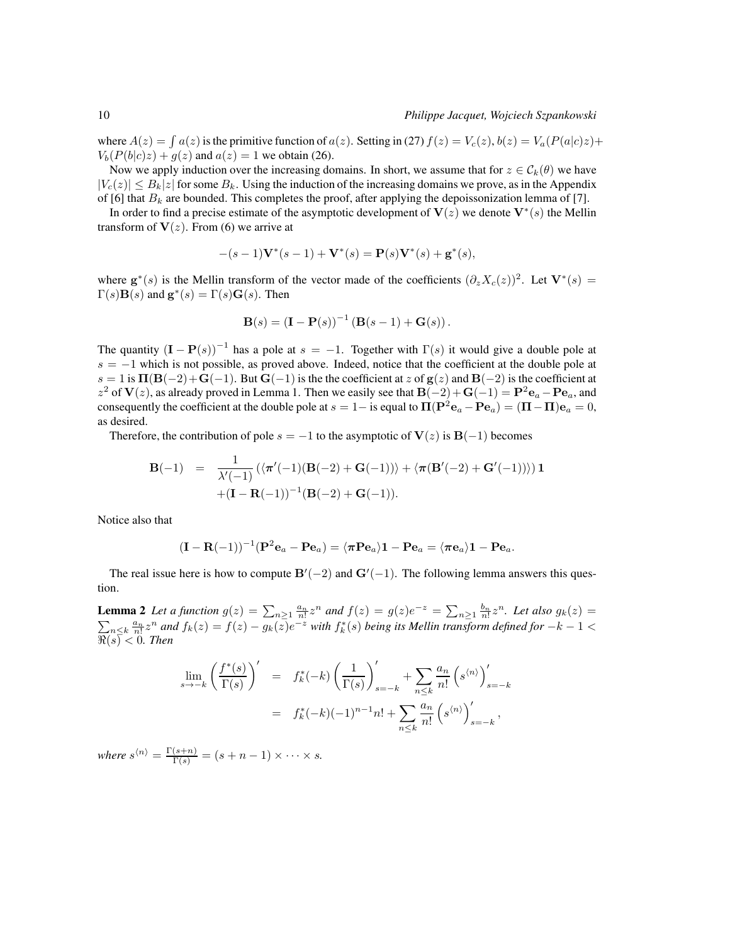where  $A(z) = \int a(z)$  is the primitive function of  $a(z)$ . Setting in (27)  $f(z) = V_c(z)$ ,  $b(z) = V_a(P(a|c)z) +$  $V_b(P(b|c)z) + g(z)$  and  $a(z) = 1$  we obtain (26).

Now we apply induction over the increasing domains. In short, we assume that for  $z \in C_k(\theta)$  we have  $|V_c(z)| \leq B_k |z|$  for some  $B_k$ . Using the induction of the increasing domains we prove, as in the Appendix of [6] that  $B_k$  are bounded. This completes the proof, after applying the depoissonization lemma of [7].

In order to find a precise estimate of the asymptotic development of  $V(z)$  we denote  $V^*(s)$  the Mellin transform of  $V(z)$ . From (6) we arrive at

$$
-(s-1)\mathbf{V}^*(s-1)+\mathbf{V}^*(s)=\mathbf{P}(s)\mathbf{V}^*(s)+\mathbf{g}^*(s),
$$

where  $\mathbf{g}^*(s)$  is the Mellin transform of the vector made of the coefficients  $(\partial_z X_c(z))^2$ . Let  $\mathbf{V}^*(s)$  =  $\Gamma(s)$ **B** $(s)$  and **g**<sup>\*</sup> $(s)$  =  $\Gamma(s)$ **G** $(s)$ . Then

**B**(s) = 
$$
(I - P(s))^{-1} (B(s - 1) + G(s))
$$
.

The quantity  $(I - P(s))^{-1}$  has a pole at  $s = -1$ . Together with  $\Gamma(s)$  it would give a double pole at  $s = -1$  which is not possible, as proved above. Indeed, notice that the coefficient at the double pole at  $s = 1$  is  $\Pi(\mathbf{B}(-2) + \mathbf{G}(-1))$ . But  $\mathbf{G}(-1)$  is the the coefficient at z of  $g(z)$  and  $\mathbf{B}(-2)$  is the coefficient at  $z^2$  of  $V(z)$ , as already proved in Lemma 1. Then we easily see that  $B(-2)+G(-1) = P^2e_a - Pe_a$ , and consequently the coefficient at the double pole at  $s = 1 -$  is equal to  $\Pi(\mathbf{P}^2\mathbf{e}_a - \mathbf{P}\mathbf{e}_a) = (\Pi - \Pi)\mathbf{e}_a = 0$ , as desired.

Therefore, the contribution of pole  $s = -1$  to the asymptotic of  $V(z)$  is  $B(-1)$  becomes

$$
\mathbf{B}(-1) = \frac{1}{\lambda'(-1)} (\langle \pi'(-1)(\mathbf{B}(-2) + \mathbf{G}(-1)) \rangle + \langle \pi(\mathbf{B'}(-2) + \mathbf{G'}(-1)) \rangle) \mathbf{1} + (\mathbf{I} - \mathbf{R}(-1))^{-1} (\mathbf{B}(-2) + \mathbf{G}(-1)).
$$

Notice also that

$$
(\mathbf{I}-\mathbf{R}(-1))^{-1}(\mathbf{P}^2\mathbf{e}_a-\mathbf{P}\mathbf{e}_a)=\langle \pi \mathbf{P} \mathbf{e}_a \rangle \mathbf{1}-\mathbf{P} \mathbf{e}_a=\langle \pi \mathbf{e}_a \rangle \mathbf{1}-\mathbf{P} \mathbf{e}_a.
$$

The real issue here is how to compute  $\mathbf{B}'(-2)$  and  $\mathbf{G}'(-1)$ . The following lemma answers this question.

**Lemma 2** Let a function  $g(z) = \sum_{n\geq 1} \frac{a_n}{n!} z^n$  and  $f(z) = g(z)e^{-z} = \sum_{n\geq 1} \frac{b_n}{n!} z^n$ . Let also  $g_k(z) =$  $\sum_{n\leq k}\frac{a_n}{n!}z^n$  and  $f_k(z)=f(z)-g_k(z)e^{-z}$  with  $f_k^*(s)$  being its Mellin transform defined for  $-k-1<\infty$  $\Re(s) < 0$ . Then

$$
\lim_{s \to -k} \left( \frac{f^*(s)}{\Gamma(s)} \right)' = f_k^*(-k) \left( \frac{1}{\Gamma(s)} \right)'_{s=-k} + \sum_{n \le k} \frac{a_n}{n!} \left( s^{(n)} \right)'_{s=-k}
$$

$$
= f_k^*(-k) (-1)^{n-1} n! + \sum_{n \le k} \frac{a_n}{n!} \left( s^{(n)} \right)'_{s=-k},
$$

where  $s^{\langle n \rangle} = \frac{\Gamma(s+n)}{\Gamma(s)} = (s+n-1) \times \cdots \times s$ .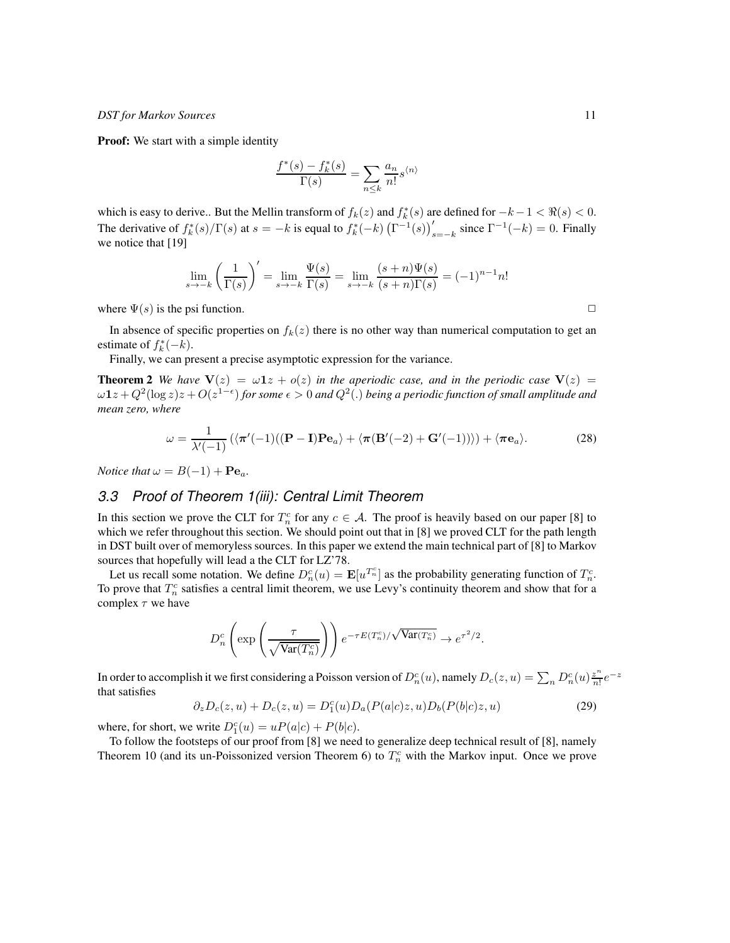**Proof:** We start with a simple identity

$$
\frac{f^*(s)-f^*_k(s)}{\Gamma(s)}=\sum_{n\leq k}\frac{a_n}{n!} s^{\langle n\rangle}
$$

which is easy to derive.. But the Mellin transform of  $f_k(z)$  and  $f_k^*(s)$  are defined for  $-k-1 < \Re(s) < 0$ . The derivative of  $f_k^*(s)/\Gamma(s)$  at  $s = -k$  is equal to  $f_k^*(-k) (\Gamma^{-1}(s))_{s=-k}^{\prime}$  since  $\Gamma^{-1}(-k) = 0$ . Finally we notice that [19]

$$
\lim_{s \to -k} \left( \frac{1}{\Gamma(s)} \right)' = \lim_{s \to -k} \frac{\Psi(s)}{\Gamma(s)} = \lim_{s \to -k} \frac{(s+n)\Psi(s)}{(s+n)\Gamma(s)} = (-1)^{n-1} n!
$$

where  $\Psi(s)$  is the psi function.  $\Box$ 

In absence of specific properties on  $f_k(z)$  there is no other way than numerical computation to get an estimate of  $f_k^*(-k)$ .

Finally, we can present a precise asymptotic expression for the variance.

**Theorem 2** *We have*  $V(z) = \omega 1z + o(z)$  *in the aperiodic case, and in the periodic case*  $V(z)$  =  $\omega1z+Q^2(\log z)z+O(z^{1-\epsilon})$  for some  $\epsilon>0$  and  $Q^2(.)$  being a periodic function of small amplitude and *mean zero, where*

$$
\omega = \frac{1}{\lambda'(-1)} \left( \langle \pi'(-1) ((\mathbf{P} - \mathbf{I}) \mathbf{P} \mathbf{e}_a \rangle + \langle \pi (\mathbf{B}'(-2) + \mathbf{G}'(-1)) \rangle \right) + \langle \pi \mathbf{e}_a \rangle.
$$
 (28)

*Notice that*  $\omega = B(-1) + Pe_a$ .

## *3.3 Proof of Theorem 1(iii): Central Limit Theorem*

In this section we prove the CLT for  $T_n^c$  for any  $c \in A$ . The proof is heavily based on our paper [8] to which we refer throughout this section. We should point out that in [8] we proved CLT for the path length in DST built over of memoryless sources. In this paper we extend the main technical part of [8] to Markov sources that hopefully will lead a the CLT for LZ'78.

Let us recall some notation. We define  $D_n^c(u) = \mathbf{E}[u^{T_n^c}]$  as the probability generating function of  $T_n^c$ . To prove that  $T_n^c$  satisfies a central limit theorem, we use Levy's continuity theorem and show that for a complex  $\tau$  we have

$$
D_n^c \left( \exp \left( \frac{\tau}{\sqrt{\text{Var}(T_n^c)}} \right) \right) e^{-\tau E(T_n^c)/\sqrt{\text{Var}(T_n^c)}} \to e^{\tau^2/2}.
$$

In order to accomplish it we first considering a Poisson version of  $D_n^c(u)$ , namely  $D_c(z, u) = \sum_n D_n^c(u) \frac{z^n}{n!}$  $\frac{z^n}{n!}e^{-z}$ that satisfies

$$
\partial_z D_c(z, u) + D_c(z, u) = D_1^c(u) D_a(P(a|c)z, u) D_b(P(b|c)z, u)
$$
\n(29)

where, for short, we write  $D_1^c(u) = uP(a|c) + P(b|c)$ .

To follow the footsteps of our proof from [8] we need to generalize deep technical result of [8], namely Theorem 10 (and its un-Poissonized version Theorem 6) to  $T_n^c$  with the Markov input. Once we prove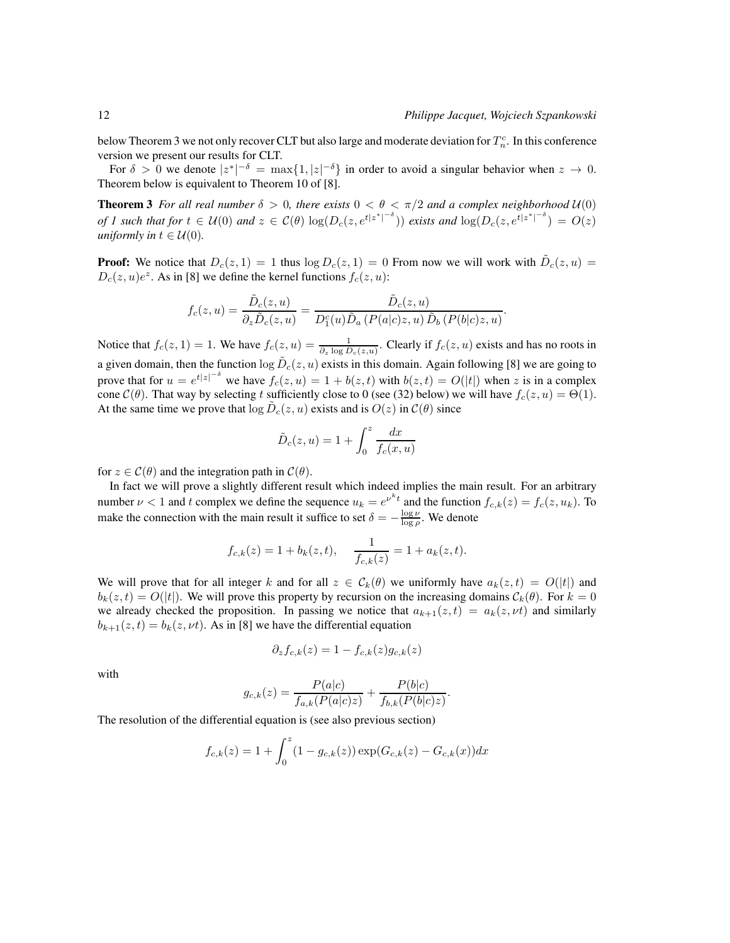.

below Theorem 3 we not only recover CLT but also large and moderate deviation for  $T_n^c$ . In this conference version we present our results for CLT.

For  $\delta > 0$  we denote  $|z^*|^{-\delta} = \max\{1, |z|^{-\delta}\}\$  in order to avoid a singular behavior when  $z \to 0$ . Theorem below is equivalent to Theorem 10 of [8].

**Theorem 3** *For all real number*  $\delta > 0$ *, there exists*  $0 < \theta < \pi/2$  *and a complex neighborhood*  $U(0)$ *of 1 such that for*  $t \in \mathcal{U}(0)$  *and*  $z \in \mathcal{C}(\theta)$   $\log(D_c(z, e^{t|z^*|^{-\delta}}))$  *exists and*  $\log(D_c(z, e^{t|z^*|^{-\delta}})) = O(z)$ *uniformly in*  $t \in \mathcal{U}(0)$ .

**Proof:** We notice that  $D_c(z,1) = 1$  thus  $\log D_c(z,1) = 0$  From now we will work with  $\tilde{D}_c(z, u) =$  $D_c(z, u)e^z$ . As in [8] we define the kernel functions  $f_c(z, u)$ :

$$
f_c(z, u) = \frac{\tilde{D}_c(z, u)}{\partial_z \tilde{D}_c(z, u)} = \frac{\tilde{D}_c(z, u)}{D_1^c(u)\tilde{D}_a (P(a|c)z, u)\tilde{D}_b (P(b|c)z, u)}
$$

Notice that  $f_c(z, 1) = 1$ . We have  $f_c(z, u) = \frac{1}{\partial_z \log \bar{D}_c(z, u)}$ . Clearly if  $f_c(z, u)$  exists and has no roots in a given domain, then the function  $\log \tilde{D}_c(z, u)$  exists in this domain. Again following [8] we are going to prove that for  $u = e^{t|z|^{-\delta}}$  we have  $f_c(z, u) = 1 + b(z, t)$  with  $b(z, t) = O(|t|)$  when z is in a complex cone  $C(\theta)$ . That way by selecting t sufficiently close to 0 (see (32) below) we will have  $f_c(z, u) = \Theta(1)$ . At the same time we prove that  $\log \tilde{D}_c(z, u)$  exists and is  $O(z)$  in  $C(\theta)$  since

$$
\tilde{D}_c(z, u) = 1 + \int_0^z \frac{dx}{f_c(x, u)}
$$

for  $z \in \mathcal{C}(\theta)$  and the integration path in  $\mathcal{C}(\theta)$ .

In fact we will prove a slightly different result which indeed implies the main result. For an arbitrary number  $\nu < 1$  and t complex we define the sequence  $u_k = e^{\nu^k t}$  and the function  $f_{c,k}(z) = f_c(z, u_k)$ . To make the connection with the main result it suffice to set  $\delta = -\frac{\log \nu}{\log \rho}$ . We denote

$$
f_{c,k}(z) = 1 + b_k(z,t),
$$
  $\frac{1}{f_{c,k}(z)} = 1 + a_k(z,t).$ 

We will prove that for all integer k and for all  $z \in \mathcal{C}_k(\theta)$  we uniformly have  $a_k(z,t) = O(|t|)$  and  $b_k(z,t) = O(|t|)$ . We will prove this property by recursion on the increasing domains  $C_k(\theta)$ . For  $k = 0$ we already checked the proposition. In passing we notice that  $a_{k+1}(z, t) = a_k(z, \nu t)$  and similarly  $b_{k+1}(z,t) = b_k(z, \nu t)$ . As in [8] we have the differential equation

$$
\partial_z f_{c,k}(z) = 1 - f_{c,k}(z)g_{c,k}(z)
$$

with

$$
g_{c,k}(z) = \frac{P(a|c)}{f_{a,k}(P(a|c)z)} + \frac{P(b|c)}{f_{b,k}(P(b|c)z)}.
$$

The resolution of the differential equation is (see also previous section)

$$
f_{c,k}(z) = 1 + \int_0^z (1 - g_{c,k}(z)) \exp(G_{c,k}(z) - G_{c,k}(x)) dx
$$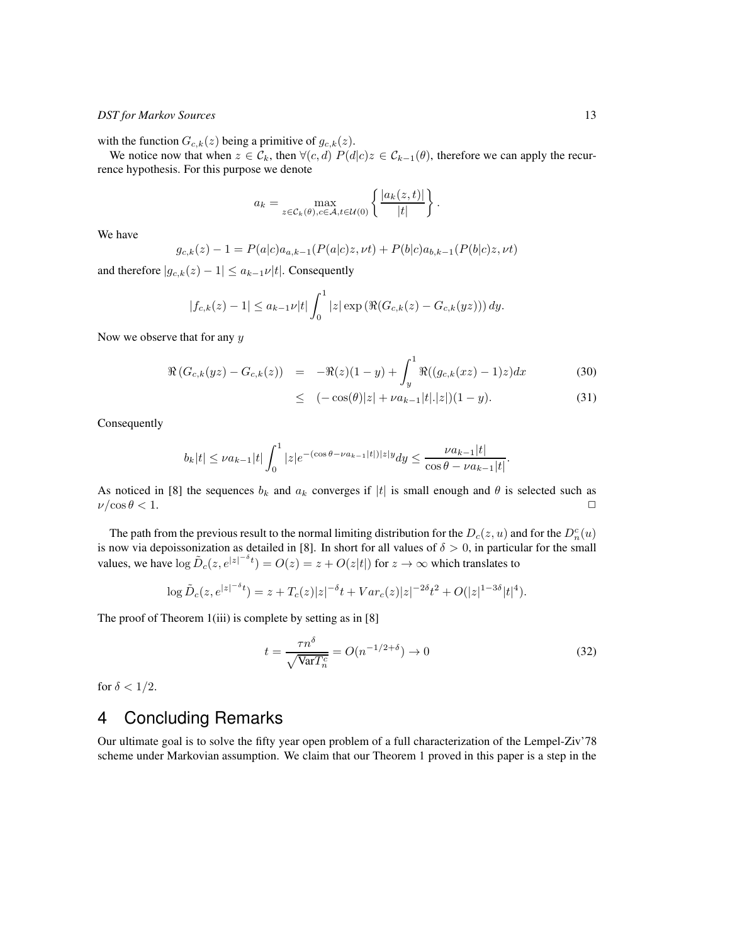with the function  $G_{c,k}(z)$  being a primitive of  $g_{c,k}(z)$ .

We notice now that when  $z \in \mathcal{C}_k$ , then  $\forall (c, d)$   $P(d|c)z \in \mathcal{C}_{k-1}(\theta)$ , therefore we can apply the recurrence hypothesis. For this purpose we denote

$$
a_k = \max_{z \in \mathcal{C}_k(\theta), c \in \mathcal{A}, t \in \mathcal{U}(0)} \left\{ \frac{|a_k(z, t)|}{|t|} \right\}.
$$

We have

$$
g_{c,k}(z) - 1 = P(a|c)a_{a,k-1}(P(a|c)z, \nu t) + P(b|c)a_{b,k-1}(P(b|c)z, \nu t)
$$

and therefore  $|g_{c,k}(z) - 1| \le a_{k-1} \nu |t|$ . Consequently

$$
|f_{c,k}(z) - 1| \le a_{k-1} \nu |t| \int_0^1 |z| \exp \left( \Re(G_{c,k}(z) - G_{c,k}(yz)) \right) dy.
$$

Now we observe that for any  $y$ 

$$
\Re\left(G_{c,k}(yz) - G_{c,k}(z)\right) = -\Re(z)(1-y) + \int_y^1 \Re((g_{c,k}(xz) - 1)z)dx \tag{30}
$$

$$
\leq (-\cos(\theta)|z| + \nu a_{k-1}|t|.|z|)(1-y). \tag{31}
$$

Consequently

$$
b_k|t| \le \nu a_{k-1}|t| \int_0^1 |z| e^{-(\cos \theta - \nu a_{k-1}|t|)|z|} dy \le \frac{\nu a_{k-1}|t|}{\cos \theta - \nu a_{k-1}|t|}.
$$

As noticed in [8] the sequences  $b_k$  and  $a_k$  converges if  $|t|$  is small enough and  $\theta$  is selected such as  $\nu/\cos\theta < 1$ .  $\nu/\cos\theta < 1.$ 

The path from the previous result to the normal limiting distribution for the  $D_c(z, u)$  and for the  $D_n^c(u)$ is now via depoissonization as detailed in [8]. In short for all values of  $\delta > 0$ , in particular for the small values, we have  $\log \tilde{D}_c(z, e^{|z|^{-\delta} t}) = O(z) = z + O(z|t|)$  for  $z \to \infty$  which translates to

$$
\log \tilde{D}_c(z, e^{|z|^{-\delta}t}) = z + T_c(z)|z|^{-\delta}t + Var_c(z)|z|^{-2\delta}t^2 + O(|z|^{1-3\delta}|t|^4).
$$

The proof of Theorem 1(iii) is complete by setting as in [8]

$$
t = \frac{\tau n^{\delta}}{\sqrt{\text{Var}T_n^c}} = O(n^{-1/2 + \delta}) \to 0
$$
\n(32)

for  $\delta < 1/2$ .

# 4 Concluding Remarks

Our ultimate goal is to solve the fifty year open problem of a full characterization of the Lempel-Ziv'78 scheme under Markovian assumption. We claim that our Theorem 1 proved in this paper is a step in the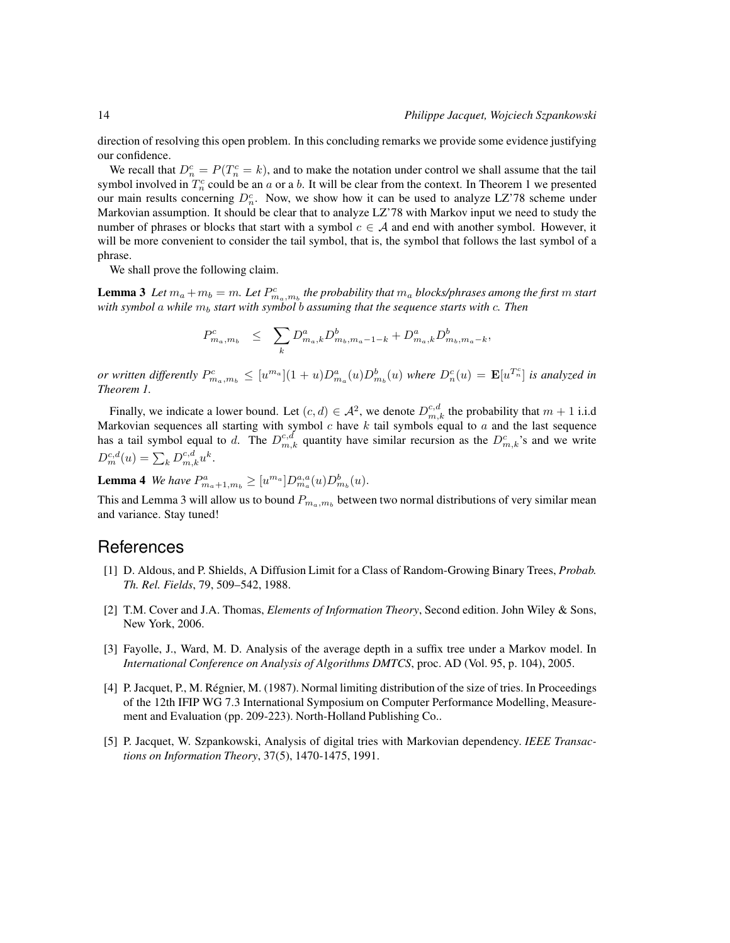direction of resolving this open problem. In this concluding remarks we provide some evidence justifying our confidence.

We recall that  $D_n^c = P(T_n^c = k)$ , and to make the notation under control we shall assume that the tail symbol involved in  $T_n^c$  could be an a or a b. It will be clear from the context. In Theorem 1 we presented our main results concerning  $D_n^c$ . Now, we show how it can be used to analyze LZ'78 scheme under Markovian assumption. It should be clear that to analyze LZ'78 with Markov input we need to study the number of phrases or blocks that start with a symbol  $c \in A$  and end with another symbol. However, it will be more convenient to consider the tail symbol, that is, the symbol that follows the last symbol of a phrase.

We shall prove the following claim.

**Lemma 3** Let  $m_a + m_b = m$ . Let  $P_{m_a,m_b}^c$  the probability that  $m_a$  blocks/phrases among the first  $m$  start *with symbol a while*  $m_b$  *start with symbol b assuming that the sequence starts with c. Then* 

$$
P^c_{m_a,m_b} \ \leq \ \sum_{k} D^a_{m_a,k} D^b_{m_b,m_a-1-k} + D^a_{m_a,k} D^b_{m_b,m_a-k},
$$

*or written differently*  $P_{m_a,m_b}^c \leq [u^{m_a}](1+u)D_{m_a}^a(u)D_{m_b}^b(u)$  where  $D_n^c(u) = \mathbf{E}[u^{T_n^c}]$  is analyzed in *Theorem 1.*

Finally, we indicate a lower bound. Let  $(c, d) \in \mathcal{A}^2$ , we denote  $D_{m,k}^{c,d}$  the probability that  $m + 1$  i.i.d Markovian sequences all starting with symbol c have k tail symbols equal to a and the last sequence has a tail symbol equal to d. The  $D_{m,k}^{c,d}$  quantity have similar recursion as the  $D_{m,k}^c$ 's and we write  $D_m^{c,d}(u) = \sum_k D_{m,k}^{c,d} u^k.$ 

**Lemma 4** We have  $P_{m_a+1,m_b}^a \geq [u^{m_a}]D_{m_a}^{a,a}(u)D_{m_b}^b(u)$ .

This and Lemma 3 will allow us to bound  $P_{m_a,m_b}$  between two normal distributions of very similar mean and variance. Stay tuned!

## References

- [1] D. Aldous, and P. Shields, A Diffusion Limit for a Class of Random-Growing Binary Trees, *Probab. Th. Rel. Fields*, 79, 509–542, 1988.
- [2] T.M. Cover and J.A. Thomas, *Elements of Information Theory*, Second edition. John Wiley & Sons, New York, 2006.
- [3] Fayolle, J., Ward, M. D. Analysis of the average depth in a suffix tree under a Markov model. In *International Conference on Analysis of Algorithms DMTCS*, proc. AD (Vol. 95, p. 104), 2005.
- [4] P. Jacquet, P., M. Régnier, M. (1987). Normal limiting distribution of the size of tries. In Proceedings of the 12th IFIP WG 7.3 International Symposium on Computer Performance Modelling, Measurement and Evaluation (pp. 209-223). North-Holland Publishing Co..
- [5] P. Jacquet, W. Szpankowski, Analysis of digital tries with Markovian dependency. *IEEE Transactions on Information Theory*, 37(5), 1470-1475, 1991.